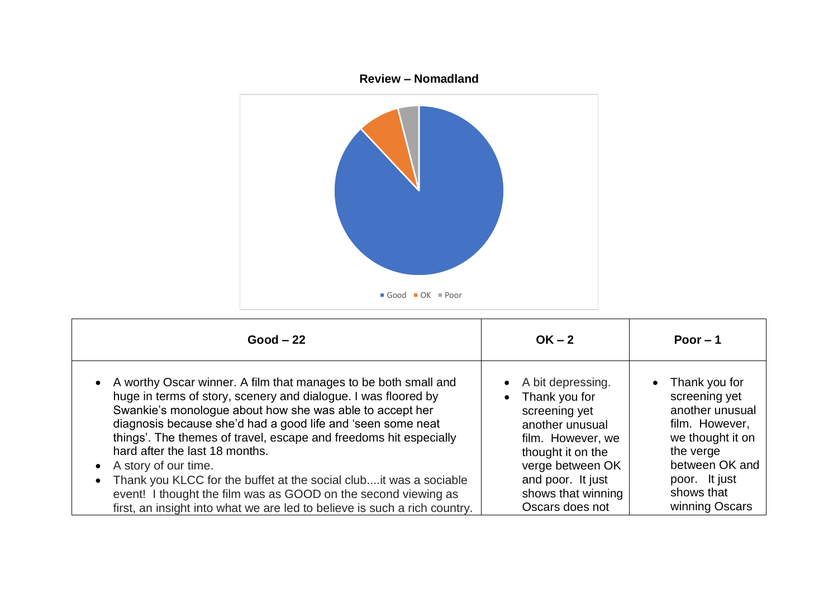

| $Good - 22$                                                               | $OK - 2$           | Poor $-1$        |
|---------------------------------------------------------------------------|--------------------|------------------|
| • A worthy Oscar winner. A film that manages to be both small and         | A bit depressing.  | Thank you for    |
| huge in terms of story, scenery and dialogue. I was floored by            | Thank you for      | screening yet    |
| Swankie's monologue about how she was able to accept her                  | screening yet      | another unusual  |
| diagnosis because she'd had a good life and 'seen some neat               | another unusual    | film. However,   |
| things'. The themes of travel, escape and freedoms hit especially         | film. However, we  | we thought it on |
| hard after the last 18 months.                                            | thought it on the  | the verge        |
| A story of our time.                                                      | verge between OK   | between OK and   |
| Thank you KLCC for the buffet at the social club it was a sociable        | and poor. It just  | poor. It just    |
| event! I thought the film was as GOOD on the second viewing as            | shows that winning | shows that       |
| first, an insight into what we are led to believe is such a rich country. | Oscars does not    | winning Oscars   |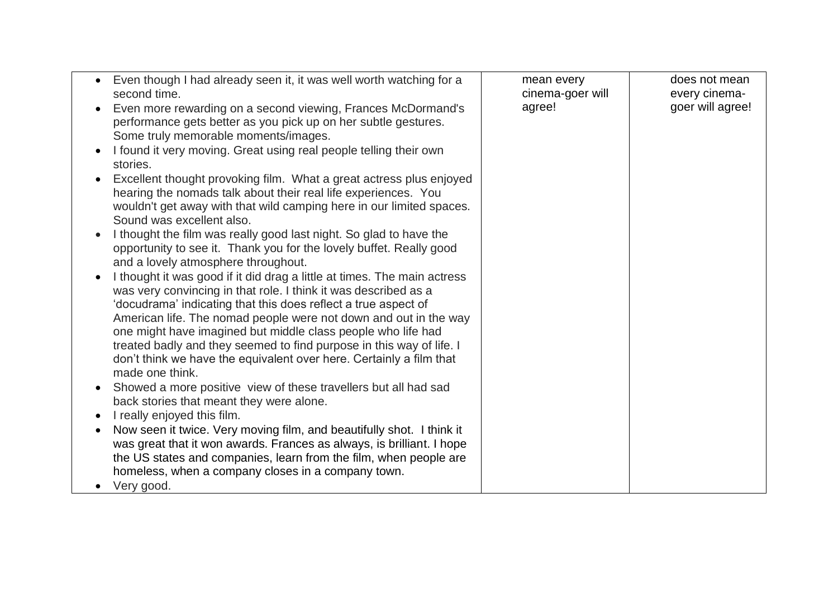| Even though I had already seen it, it was well worth watching for a<br>second time.<br>Even more rewarding on a second viewing, Frances McDormand's                                                                                                                                                                                                                                                                                                                                                                 | mean every<br>cinema-goer will<br>agree! | does not mean<br>every cinema-<br>goer will agree! |
|---------------------------------------------------------------------------------------------------------------------------------------------------------------------------------------------------------------------------------------------------------------------------------------------------------------------------------------------------------------------------------------------------------------------------------------------------------------------------------------------------------------------|------------------------------------------|----------------------------------------------------|
| performance gets better as you pick up on her subtle gestures.<br>Some truly memorable moments/images.                                                                                                                                                                                                                                                                                                                                                                                                              |                                          |                                                    |
| I found it very moving. Great using real people telling their own<br>stories.                                                                                                                                                                                                                                                                                                                                                                                                                                       |                                          |                                                    |
| Excellent thought provoking film. What a great actress plus enjoyed<br>hearing the nomads talk about their real life experiences. You<br>wouldn't get away with that wild camping here in our limited spaces.<br>Sound was excellent also.                                                                                                                                                                                                                                                                          |                                          |                                                    |
| I thought the film was really good last night. So glad to have the<br>opportunity to see it. Thank you for the lovely buffet. Really good<br>and a lovely atmosphere throughout.                                                                                                                                                                                                                                                                                                                                    |                                          |                                                    |
| I thought it was good if it did drag a little at times. The main actress<br>was very convincing in that role. I think it was described as a<br>'docudrama' indicating that this does reflect a true aspect of<br>American life. The nomad people were not down and out in the way<br>one might have imagined but middle class people who life had<br>treated badly and they seemed to find purpose in this way of life. I<br>don't think we have the equivalent over here. Certainly a film that<br>made one think. |                                          |                                                    |
| Showed a more positive view of these travellers but all had sad<br>back stories that meant they were alone.                                                                                                                                                                                                                                                                                                                                                                                                         |                                          |                                                    |
| I really enjoyed this film.                                                                                                                                                                                                                                                                                                                                                                                                                                                                                         |                                          |                                                    |
| Now seen it twice. Very moving film, and beautifully shot. I think it<br>was great that it won awards. Frances as always, is brilliant. I hope<br>the US states and companies, learn from the film, when people are<br>homeless, when a company closes in a company town.<br>Very good.                                                                                                                                                                                                                             |                                          |                                                    |